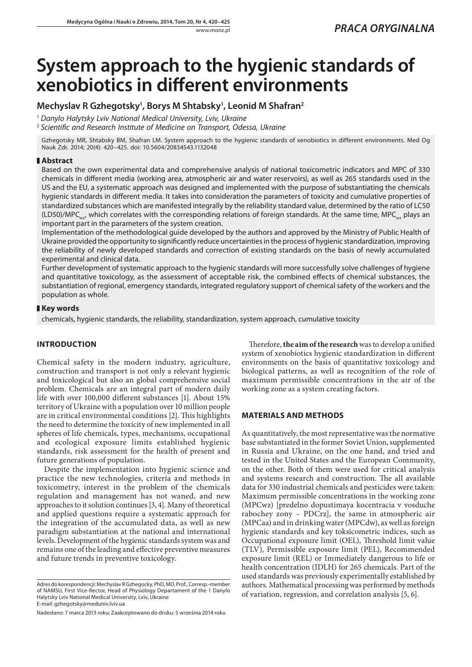# **System approach to the hygienic standards of xenobiotics in different environments**

## **Mechyslav R Gzhegotsky1 , Borys M Shtabsky1 , Leonid M Shafran2**

<sup>1</sup> *Danylo Halytsky Lviv National Medical University, Lviv, Ukraine*

<sup>2</sup> *Scientific and Research Institute of Medicine on Transport, Odessa, Ukraine*

Gzhegotsky MR, Shtabsky BM, Shafran LM. System approach to the hygienic standards of xenobiotics in different environments. Med Og Nauk Zdr. 2014; 20(4): 420–425. doi: 10.5604/20834543.1132048

#### **Abstract**

Based on the own experimental data and comprehensive analysis of national toxicometric indicators and MPC of 330 chemicals in different media (working area, atmospheric air and water reservoirs), as well as 265 standards used in the US and the EU, a systematic approach was designed and implemented with the purpose of substantiating the chemicals hygienic standards in different media. It takes into consideration the parameters of toxicity and cumulative properties of standardized substances which are manifested integrally by the reliability standard value, determined by the ratio of LC50 (LD50)/MPC<sub>wz</sub>, which correlates with the corresponding relations of foreign standards. At the same time, MPC<sub>wz</sub> plays an important part in the parameters of the system creation.

Implementation of the methodological guide developed by the authors and approved by the Ministry of Public Health of Ukraine provided the opportunity to significantly reduce uncertainties in the process of hygienic standardization, improving the reliability of newly developed standards and correction of existing standards on the basis of newly accumulated experimental and clinical data.

Further development of systematic approach to the hygienic standards will more successfully solve challenges of hygiene and quantitative toxicology, as the assessment of acceptable risk, the combined effects of chemical substances, the substantiation of regional, emergency standards, integrated regulatory support of chemical safety of the workers and the population as whole.

#### **Key words**

chemicals, hygienic standards, the reliability, standardization, system approach, cumulative toxicity

### **INTRODUCTION**

Chemical safety in the modern industry, agriculture, construction and transport is not only a relevant hygienic and toxicological but also an global comprehensive social problem. Chemicals are an integral part of modern daily life with over 100,000 different substances [1]. About 15% territory of Ukraine with a population over 10 million people are in critical environmental conditions [2]. This highlights the need to determine the toxicity of new implemented in all spheres of life chemicals, types, mechanisms, occupational and ecological exposure limits established hygienic standards, risk assessment for the health of present and future generations of population.

Despite the implementation into hygienic science and practice the new technologies, criteria and methods in toxicometry, interest in the problem of the chemicals regulation and management has not waned, and new approaches to it solution continues [3, 4]. Many of theoretical and applied questions require a systematic approach for the integration of the accumulated data, as well as new paradigm substantiation at the national and international levels. Development of the hygienic standards system was and remains one of the leading and effective preventive measures and future trends in preventive toxicology.

Therefore, **the aim of the research** was to develop a unified system of xenobiotics hygienic standardization in different environments on the basis of quantitative toxicology and biological patterns, as well as recognition of the role of maximum permissible concentrations in the air of the working zone as a system creating factors.

#### **MATERIALS AND METHODS**

As quantitatively, the most representative was the normative base substantiated in the former Soviet Union, supplemented in Russia and Ukraine, on the one hand, and tried and tested in the United States and the European Community, on the other. Both of them were used for critical analysis and systems research and construction. The all available data for 330 industrial chemicals and pesticides were taken: Maximum permissible concentrations in the working zone (MPCwz) [predelno dopustimaya kocentracia v vosduche rabochey zony – PDCrz], the same in atmospheric air (MPCaa) and in drinking water (MPCdw), as well as foreign hygienic standards and key toksicometric indices, such as Occupational exposure limit (OEL), Threshold limit value (TLV), Permissible exposure limit (PEL), Recommended exposure limit (REL) or Immediately dangerous to life or health concentration (IDLH) for 265 chemicals. Part of the used standards was previously experimentally established by authors. Mathematical processing was performed by methods of variation, regression, and correlation analysis [5, 6].

Adres do korespondencji: Mechyslav R Gzhegocky, PhD, MD, Prof., Corresp.-member of NAMSU, First Vice-Rector, Head of Physiology Departament of the 1 Danylo Halytsky Lviv National Medical University, Lviv, Ukraine E-mail: gzhegotsky@meduniv.lviv.ua

Nadesłano: 7 marca 2013 roku; Zaakceptowano do druku: 5 września 2014 roku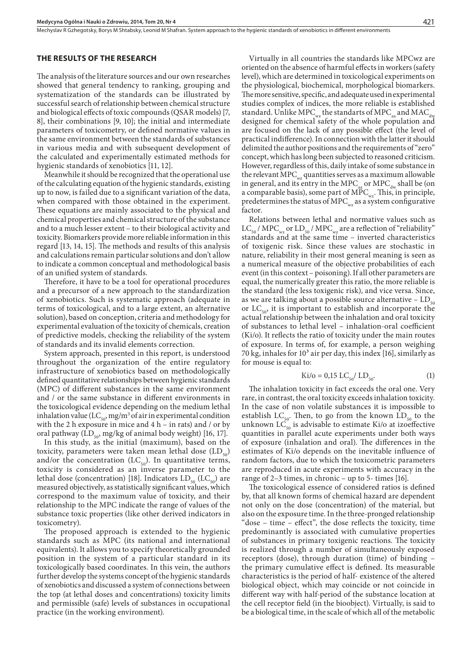Mechyslav R Gzhegotsky, Borys M Shtabsky, Leonid M Shafran . System approach to the hygienic standards of xenobiotics in different environments

#### **THE RESULTS OF THE RESEARCH**

The analysis of the literature sources and our own researches showed that general tendency to ranking, grouping and systematization of the standards can be illustrated by successful search of relationship between chemical structure and biological effects of toxic compounds (QSAR models) [7, 8], their combinations [9, 10]; the initial and intermediate parameters of toxicometry, or defined normative values in the same environment between the standards of substances in various media and with subsequent development of the calculated and experimentally estimated methods for hygienic standards of xenobiotics [11, 12].

Meanwhile it should be recognized that the operational use of the calculating equation of the hygienic standards, existing up to now, is failed due to a significant variation of the data, when compared with those obtained in the experiment. These equations are mainly associated to the physical and chemical properties and chemical structure of the substance and to a much lesser extent – to their biological activity and toxicity. Biomarkers provide more reliable information in this regard [13, 14, 15]. The methods and results of this analysis and calculations remain particular solutions and don't allow to indicate a common conceptual and methodological basis of an unified system of standards.

Therefore, it have to be a tool for operational procedures and a precursor of a new approach to the standardization of xenobiotics. Such is systematic approach (adequate in terms of toxicological, and to a large extent, an alternative solution), based on conception, criteria and methodology for experimental evaluation of the toxicity of chemicals, creation of predictive models, checking the reliability of the system of standards and its invalid elements correction.

System approach, presented in this report, is understood throughout the organization of the entire regulatory infrastructure of xenobiotics based on methodologically defined quantitative relationships between hygienic standards (MPC) of different substances in the same environment and / or the same substance in different environments in the toxicological evidence depending on the medium lethal inhalation value (LC<sub>50</sub>, mg/m<sup>3</sup> of air in experimental condition with the 2 h exposure in mice and  $4 h$  – in rats) and / or by oral pathway (LD<sub>50</sub>, mg/kg of animal body weight) [16, 17].

In this study, as the initial (maximum), based on the toxicity, parameters were taken mean lethal dose  $(LD_{50})$ and/or the concentration  $(LC_{50})$ . In quantitative terms, toxicity is considered as an inverse parameter to the lethal dose (concentration) [18]. Indicators  $LD_{50}$  (LC<sub>50</sub>) are measured objectively, as statistically significant values, which correspond to the maximum value of toxicity, and their relationship to the MPC indicate the range of values of the substance toxic properties (like other derived indicators in toxicometry).

The proposed approach is extended to the hygienic standards such as MPC (its national and international equivalents). It allows you to specify theoretically grounded position in the system of a particular standard in its toxicologically based coordinates. In this vein, the authors further develop the systems concept of the hygienic standards of xenobiotics and discussed a system of connections between the top (at lethal doses and concentrations) toxicity limits and permissible (safe) levels of substances in occupational practice (in the working environment).

Virtually in all countries the standards like MPCwz are oriented on the absence of harmful effects in workers (safety level), which are determined in toxicological experiments on the physiological, biochemical, morphological biomarkers. The more sensitive, specific, and adequate used in experimental studies complex of indices, the more reliable is established standard. Unlike MPC $_{\text{wz}}$  the standarts of MPC $_{\text{av}}$  and MAC $_{\text{dw}}$ designed for chemical safety of the whole population and are focused on the lack of any possible effect (the level of practical indifference). In connection with the latter it should delimited the author positions and the requirements of "zero" concept, which has long been subjected to reasoned criticism. However, regardless of this, daily intake of some substance in the relevant MPC $_{wz}$  quantities serves as a maximum allowable in general, and its entry in the MPC<sub>aa</sub> or MPC<sub>dw</sub> shall be (on a comparable basis), some part of  $\widehat{\text{MPC}}_{wz}$ . This, in principle, predetermines the status of MPC $_{\text{wz}}$  as a system configurative factor.

Relations between lethal and normative values such as  $LC_{50}$  / MPC<sub>wz</sub> or  $LD_{50}$  / MPC<sub>wz</sub> are a reflection of "reliability" standards and at the same time – inverted characteristics of toxigenic risk. Since these values are stochastic in nature, reliability in their most general meaning is seen as a numerical measure of the objective probabilities of each event (in this context – poisoning). If all other parameters are equal, the numerically greater this ratio, the more reliable is the standard (the less toxigenic risk), and vice versa. Since, as we are talking about a possible source alternative  $-LD_{50}$ or  $LC_{50}$ , it is important to establish and incorporate the actual relationship between the inhalation and oral toxicity of substances to lethal level – inhalation-oral coefficient (Ki/o). It reflects the ratio of toxicity under the main routes of exposure. In terms of, for example, a person weighing 70 kg, inhales for  $10<sup>3</sup>$  air per day, this index [16], similarly as for mouse is equal to:

$$
Ki/o = 0,15 LC_{50}/ LD_{50}.
$$
 (1)

The inhalation toxicity in fact exceeds the oral one. Very rare, in contrast, the oral toxicity exceeds inhalation toxicity. In the case of non volatile substances it is impossible to establish LC<sub>50</sub>. Then, to go from the known LD<sub>50</sub> to the unknown  $LC_{50}$  is advisable to estimate Ki/o at izoeffective quantities in parallel acute experiments under both ways of exposure (inhalation and oral). The differences in the estimates of Ki/o depends on the inevitable influence of random factors, due to which the toxicometric parameters are reproduced in acute experiments with accuracy in the range of 2–3 times, in chronic – up to 5- times [16].

The toxicological essence of considered ratios is defined by, that all known forms of chemical hazard are dependent not only on the dose (concentration) of the material, but also on the exposure time. In the three-pronged relationship "dose – time – effect", the dose reflects the toxicity, time predominantly is associated with cumulative properties of substances in primary toxigenic reactions. The toxicity is realized through a number of simultaneously exposed receptors (dose), through duration (time) of binding – the primary cumulative effect is defined. Its measurable characteristics is the period of half- existence of the altered biological object, which may coincide or not coincide in different way with half-period of the substance location at the cell receptor field (in the bioobject). Virtually, is said to be a biological time, in the scale of which all of the metabolic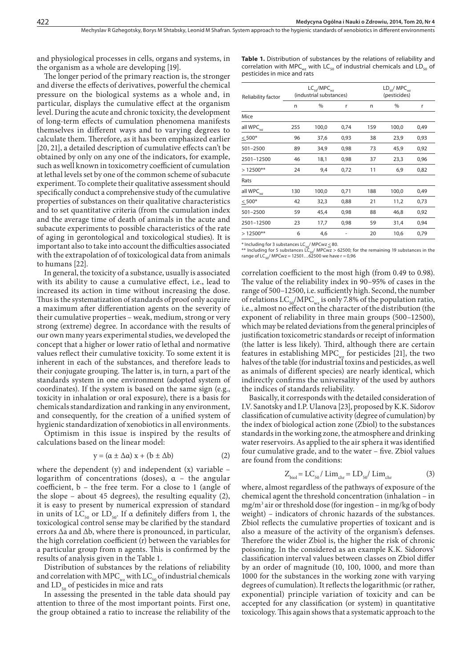and physiological processes in cells, organs and systems, in the organism as a whole are developing [19].

The longer period of the primary reaction is, the stronger and diverse the effects of derivatives, powerful the chemical pressure on the biological systems as a whole and, in particular, displays the cumulative effect at the organism level. During the acute and chronic toxicity, the development of long-term effects of cumulation phenomena manifests themselves in different ways and to varying degrees to calculate them. Therefore, as it has been emphasized earlier [20, 21], a detailed description of cumulative effects can't be obtained by only on any one of the indicators, for example, such as well known in toxicometry coefficient of cumulation at lethal levels set by one of the common scheme of subacute experiment. To complete their qualitative assessment should specifically conduct a comprehensive study of the cumulative properties of substances on their qualitative characteristics and to set quantitative criteria (from the cumulation index and the average time of death of animals in the acute and subacute experiments to possible characteristics of the rate of aging in gerontological and toxicological studies). It is important also to take into account the difficulties associated with the extrapolation of of toxicological data from animals to humans [22].

In general, the toxicity of a substance, usually is associated with its ability to cause a cumulative effect, i.e., lead to increased its action in time without increasing the dose. Thus is the systematization of standards of proof only acquire a maximum after differentiation agents on the severity of their cumulative properties – weak, medium, strong or very strong (extreme) degree. In accordance with the results of our own many years experimental studies, we developed the concept that a higher or lower ratio of lethal and normative values reflect their cumulative toxicity. To some extent it is inherent in each of the substances, and therefore leads to their conjugate grouping. The latter is, in turn, a part of the standards system in one environment (adopted system of coordinates). If the system is based on the same sign (e.g., toxicity in inhalation or oral exposure), there is a basis for chemicals standardization and ranking in any environment, and consequently, for the creation of a unified system of hygienic standardization of xenobiotics in all environments.

Optimism in this issue is inspired by the results of calculations based on the linear model:

$$
y = (\alpha \pm \Delta \alpha) x + (b \pm \Delta b) \tag{2}
$$

where the dependent (y) and independent (x) variable  $$ logarithm of concentrations (doses), α – the angular coefficient, b – the free term. For α close to 1 (angle of the slope – about 45 degrees), the resulting equality (2), it is easy to present by numerical expression of standard in units of  $LC_{50}$  or  $LD_{50}$ . If a definitely differs from 1, the toxicological control sense may be clarified by the standard errors Δa and Δb, where there is pronounced, in particular, the high correlation coefficient  $(r)$  between the variables for a particular group from n agents. This is confirmed by the results of analysis given in the Table 1.

Distribution of substances by the relations of reliability and correlation with MPC $_{\rm{wz}}$  with LC<sub>50</sub> of industrial chemicals and  $LD_{50}$  of pesticides in mice and rats

In assessing the presented in the table data should pay attention to three of the most important points. First one, the group obtained a ratio to increase the reliability of the **Table 1.** Distribution of substances by the relations of reliability and correlation with MPC<sub>wz</sub> with LC<sub>50</sub> of industrial chemicals and LD<sub>50</sub> of pesticides in mice and rats

| Reliability factor    | $LC_{50}/MPC_{wz}$<br>(industrial substances) |       |      | $LD_{50}/$ MPC $_{\text{max}}$<br>(pesticides) |       |      |
|-----------------------|-----------------------------------------------|-------|------|------------------------------------------------|-------|------|
|                       | n                                             | %     | r    | n                                              | %     | r    |
| Mice                  |                                               |       |      |                                                |       |      |
| all WPC <sub>wz</sub> | 255                                           | 100,0 | 0,74 | 159                                            | 100,0 | 0,49 |
| $< 500*$              | 96                                            | 37,6  | 0,93 | 38                                             | 23,9  | 0,93 |
| 501-2500              | 89                                            | 34,9  | 0,98 | 73                                             | 45,9  | 0,92 |
| 2501-12500            | 46                                            | 18,1  | 0,98 | 37                                             | 23,3  | 0,96 |
| $>12500**$            | 24                                            | 9,4   | 0,72 | 11                                             | 6,9   | 0,82 |
| Rats                  |                                               |       |      |                                                |       |      |
| all WPC <sub>wz</sub> | 130                                           | 100,0 | 0,71 | 188                                            | 100,0 | 0,49 |
| $\leq 500*$           | 42                                            | 32,3  | 0,88 | 21                                             | 11,2  | 0,73 |
| 501-2500              | 59                                            | 45,4  | 0,98 | 88                                             | 46,8  | 0,92 |
| 2501-12500            | 23                                            | 17,7  | 0,98 | 59                                             | 31,4  | 0,94 |
| $>12500**$            | 6                                             | 4,6   |      | 20                                             | 10,6  | 0,79 |
|                       |                                               |       |      |                                                |       |      |

\* Including for 3 substances LC<sub>s0</sub>/ MPCwz ≤ 80.<br>\*\* Including for 5 substances LC<sub>s0</sub>/ MPCwz > 62500; for the remaining 19 substances in the<br>range of LC<sub>s0</sub>/ MPCwz = 12501…62500 we have r = 0,96

correlation coefficient to the most high (from 0.49 to 0.98). The value of the reliability index in 90–95% of cases in the range of 500–12500, i.e. sufficiently high. Second, the number of relations  $LC_{50}/\text{MPC}_{\text{wz}}$  is only 7.8% of the population ratio, i.e., almost no effect on the character of the distribution (the exponent of reliability in three main groups (500–12500), which may be related deviations from the general principles of justification toxicometric standards or receipt of information (the latter is less likely). Third, although there are certain features in establishing MPC $_{\text{wz}}$  for pesticides [21], the two halves of the table (for industrial toxins and pesticides, as well as animals of different species) are nearly identical, which indirectly confirms the universality of the used by authors the indices of standards reliability.

Basically, it corresponds with the detailed consideration of I.V. Sanotsky and I.P. Ulanova [23], proposed by K.K. Sidorov classification of cumulative activity (degree of cumulation) by the index of biological action zone (Zbiol) to the substances standards in the working zone, the atmosphere and drinking water reservoirs. As applied to the air sphera it was identified four cumulative grade, and to the water – five. Zbiol values are found from the conditions:

$$
Z_{\text{biol}} = LC_{50} / \operatorname{Lim}_{\text{chr}} = LD_{50} / \operatorname{Lim}_{\text{chr}} \tag{3}
$$

where, almost regardless of the pathways of exposure of the chemical agent the threshold concentration (inhalation – in mg/m3 air or threshold dose (for ingestion – in mg/kg of body weight) – indicators of chronic hazards of the substances. Zbiol reflects the cumulative properties of toxicant and is also a measure of the activity of the organism's defenses. Therefore the wider Zbiol is, the higher the risk of chronic poisoning. In the considered as an example K.K. Sidorovs' classification interval values between classes on Zbiol differ by an order of magnitude (10, 100, 1000, and more than 1000 for the substances in the working zone with varying degrees of cumulation). It reflects the logarithmic (or rather, exponential) principle variation of toxicity and can be accepted for any classification (or system) in quantitative toxicology. This again shows that a systematic approach to the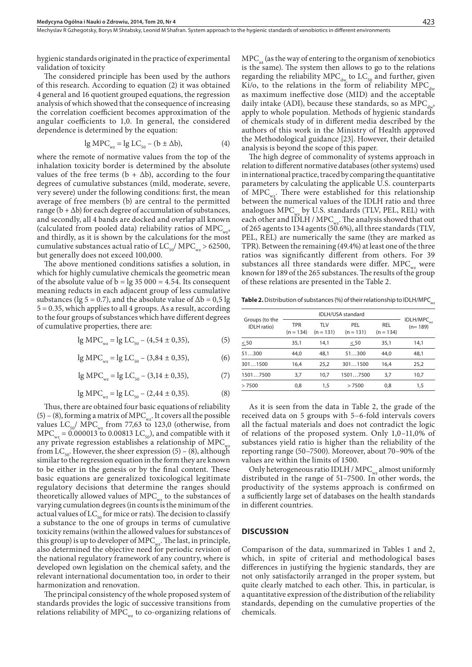hygienic standards originated in the practice of experimental validation of toxicity

The considered principle has been used by the authors of this research. According to equation (2) it was obtained 4 general and 16 quotient grouped equations, the regression analysis of which showed that the consequence of increasing the correlation coefficient becomes approximation of the angular coefficients to 1,0. In general, the considered dependence is determined by the equation:

$$
\lg \text{MPC}_{\text{wz}} = \lg \text{LC}_{50} - (\text{b} \pm \Delta \text{b}),\tag{4}
$$

where the remote of normative values from the top of the inhalation toxicity border is determined by the absolute values of the free terms ( $b + \Delta b$ ), according to the four degrees of cumulative substances (mild, moderate, severe, very severe) under the following conditions: first, the mean average of free members (b) are central to the permitted range  $(b + \Delta b)$  for each degree of accumulation of substances, and secondly, all 4 bands are docked and overlap all known (calculated from pooled data) reliability ratios of  $\text{MPC}_{wz}$ , and thirdly, as it is shown by the calculations for the most cumulative substances actual ratio of  $LC_{50}$ / MPC<sub>wz</sub> > 62500, but generally does not exceed 100,000.

The above mentioned conditions satisfies a solution, in which for highly cumulative chemicals the geometric mean of the absolute value of  $b = \lg 35\,000 = 4.54$ . Its consequent meaning reducts in each adjacent group of less cumulative substances (lg 5 = 0.7), and the absolute value of  $\Delta b = 0.5$  lg 5 = 0.35, which applies to all 4 groups. As a result, according to the four groups of substances which have different degrees of cumulative properties, there are:

$$
lg \text{MPC}_{\text{wz}} = lg \text{ LC}_{50} - (4,54 \pm 0,35), \tag{5}
$$

$$
lg \text{MPC}_{wz} = lg \text{LC}_{50} - (3,84 \pm 0,35), \tag{6}
$$

lg MPC<sub>wz</sub> = lg LC<sub>50</sub> – (3,14 ± 0,35), (7)

$$
\lg \text{MPC}_{wz} = \lg \text{LC}_{50} - (2.44 \pm 0.35). \tag{8}
$$

Thus, there are obtained four basic equations of reliability  $(5)$  – (8), forming a matrix of MPC<sub>wz</sub>. It covers all the possible values  $LC_{50}$ / MPC<sub>wz</sub> from 77,63 to 123,0 (otherwise, from  $\text{MPC}_{wz} = 0.000013$  to 0.00813 LC<sub>50</sub>), and compatible with it any private regression establishes a relationship of  $\text{MPC}_{wz}$ from  $LC_{50}$ . However, the sheer expression (5) – (8), although similar to the regression equation in the form they are known to be either in the genesis or by the final content. These basic equations are generalized toxicological legitimate regulatory decisions that determine the ranges should theoretically allowed values of  $\text{MPC}_{wz}$  to the substances of varying cumulation degrees (in counts is the minimum of the actual values of  $LC_{50}$  for mice or rats). The decision to classify a substance to the one of groups in terms of cumulative toxicity remains (within the allowed values for substances of this group) is up to developer of MPC<sub>wa</sub>. The last, in principle, also determined the objective need for periodic revision of the national regulatory framework of any country, where is developed own legislation on the chemical safety, and the relevant international documentation too, in order to their harmonization and renovation.

The principal consistency of the whole proposed system of standards provides the logic of successive transitions from relations reliability of MPC $_{\text{wz}}$  to co-organizing relations of  $\text{MPC}_{a}$  (as the way of entering to the organism of xenobiotics is the same). The system then allows to go to the relations regarding the reliability  $\text{MPC}_{\text{dw}}$  to  $\text{LC}_{\text{50}}$  and further, given Ki/o, to the relations in the form of reliability  $\text{MPC}_{du}$ as maximum ineffective dose (MID) and the acceptable daily intake (ADI), because these standards, so as  $\text{MPC}_{\text{dust}}$ apply to whole population. Methods of hygienic standards of chemicals study of in different media described by the authors of this work in the Ministry of Health approved the Methodological guidance [23]. However, their detailed analysis is beyond the scope of this paper.

The high degree of commonality of systems approach in relation to different normative databases (other systems) used in international practice, traced by comparing the quantitative parameters by calculating the applicable U.S. counterparts of MPC $_{\text{wz}}$ . There were established for this relationship between the numerical values of the IDLH ratio and three analogues  $MPC_{w}$  by U.S. standards (TLV, PEL, REL) with each other and IDLH / MPC<sub>wz</sub>. The analysis showed that out of 265 agents to 134 agents (50.6%), all three standards (TLV, PEL, REL) are numerically the same (they are marked as TPR). Between the remaining (49.4%) at least one of the three ratios was significantly different from others. For 39 substances all three standards were differ.  $\text{MPC}_{wz}$  were known for 189 of the 265 substances. The results of the group of these relations are presented in the Table 2.

**Table 2.** Distribution of substances (%) of their relationship to IDLH/MPC<sub>wz</sub>

| Groups (to the<br><b>IDLH</b> ratio) |                           |                    |                    |                           |                                       |
|--------------------------------------|---------------------------|--------------------|--------------------|---------------------------|---------------------------------------|
|                                      | <b>TPR</b><br>$(n = 134)$ | TLV<br>$(n = 131)$ | PEL<br>$(n = 131)$ | <b>REL</b><br>$(n = 134)$ | $IDLH/MPC$ <sub>wz</sub><br>$(n=189)$ |
| < 50                                 | 35,1                      | 14.1               | < 50               | 35,1                      | 14.1                                  |
| 51300                                | 44.0                      | 48.1               | 51300              | 44.0                      | 48.1                                  |
| 3011500                              | 16,4                      | 25,2               | 3011500            | 16.4                      | 25,2                                  |
| 15017500                             | 3.7                       | 10,7               | 15017500           | 3.7                       | 10.7                                  |
| >7500                                | 0.8                       | 1.5                | >7500              | 0.8                       | 1,5                                   |

As it is seen from the data in Table 2, the grade of the received data on 5 groups with 5–6-fold intervals covers all the factual materials and does not contradict the logic of relations of the proposed system. Only 1,0–11,0% of substances yield ratio is higher than the reliability of the reporting range (50–7500). Moreover, about 70–90% of the values are within the limits of 1500.

Only heterogeneous ratio IDLH /  $MPC_{wz}$  almost uniformly distributed in the range of 51–7500. In other words, the productivity of the systems approach is confirmed on a sufficiently large set of databases on the health standards in different countries.

#### **DISCUSSION**

Comparison of the data, summarized in Tables 1 and 2, which, in spite of criterial and methodological bases differences in justifying the hygienic standards, they are not only satisfactorily arranged in the proper system, but quite clearly matched to each other. This, in particular, is a quantitative expression of the distribution of the reliability standards, depending on the cumulative properties of the chemicals.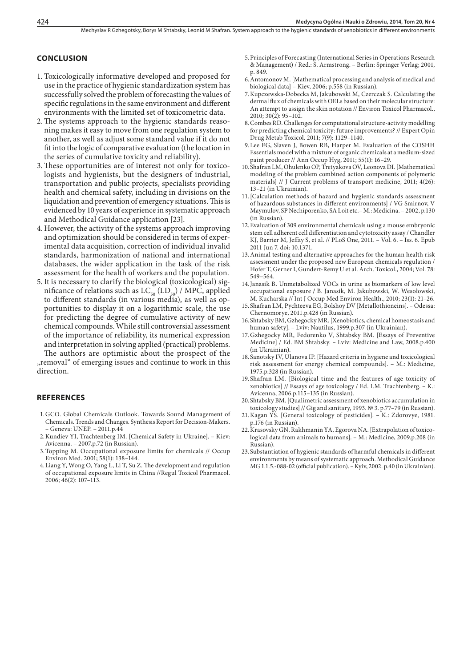#### **CONCLUSION**

- 1. Toxicologically informative developed and proposed for use in the practice of hygienic standardization system has successfully solved the problem of forecasting the values of specific regulations in the same environment and different environments with the limited set of toxicometric data.
- 2.The systems approach to the hygienic standards reasoning makes it easy to move from one regulation system to another, as well as adjust some standard value if it do not fit into the logic of comparative evaluation (the location in the series of cumulative toxicity and reliability).
- 3. These opportunities are of interest not only for toxicologists and hygienists, but the designers of industrial, transportation and public projects, specialists providing health and chemical safety, including in divisions on the liquidation and prevention of emergency situations. This is evidenced by 10 years of experience in systematic approach and Methodical Guidance application [23].
- 4. However, the activity of the systems approach improving and optimization should be considered in terms of experimental data acquisition, correction of individual invalid standards, harmonization of national and international databases, the wider application in the task of the risk assessment for the health of workers and the population.
- 5. It is necessary to clarify the biological (toxicological) significance of relations such as  $LC_{50}$  (LD<sub>50</sub>) / MPC, applied to different standards (in various media), as well as opportunities to display it on a logarithmic scale, the use for predicting the degree of cumulative activity of new chemical compounds. While still controversial assessment of the importance of reliability, its numerical expression and interpretation in solving applied (practical) problems. The authors are optimistic about the prospect of the

"removal" of emerging issues and continue to work in this direction.

#### **REFERENCES**

- 1.GCO. Global Chemicals Outlook. Towards Sound Management of Chemicals. Trends and Changes. Synthesis Report for Decision-Makers. – Geneva: UNEP. – 2011.p.44
- 2.Kundiev YI, Trachtenberg IM. [Chemical Safety in Ukraine]. Kiev: Avicenna. – 2007.p.72 (in Russian).
- 3.Topping M. Occupational exposure limits for chemicals // Occup Environ Med. 2001; 58(1): 138–144.
- 4.[Liang Y,](http://www.ncbi.nlm.nih.gov/pubmed?term=Liang%20Y%5BAuthor%5D&cauthor=true&cauthor_uid=16624464) [Wong O,](http://www.ncbi.nlm.nih.gov/pubmed?term=Wong%20O%5BAuthor%5D&cauthor=true&cauthor_uid=16624464) [Yang L,](http://www.ncbi.nlm.nih.gov/pubmed?term=Yang%20L%5BAuthor%5D&cauthor=true&cauthor_uid=16624464) [Li T](http://www.ncbi.nlm.nih.gov/pubmed?term=Li%20T%5BAuthor%5D&cauthor=true&cauthor_uid=16624464), [Su Z.](http://www.ncbi.nlm.nih.gov/pubmed?term=Su%20Z%5BAuthor%5D&cauthor=true&cauthor_uid=16624464) The development and regulation of occupational exposure limits in China /[/Regul Toxicol Pharmacol.](http://www.ncbi.nlm.nih.gov/pubmed/16624464) 2006; 46(2): 107–113.
- 5.Principles of Forecasting (International Series in Operations Research & Management) / Red.: S. Armstrong. – Berlin: Springer Verlag; 2001, p. 849.
- 6.Antomonov M. [Mathematical processing and analysis of medical and biological data] – Kiev, 2006; p.558 (in Russian).
- 7.[Kupczewska-Dobecka M,](http://www.ncbi.nlm.nih.gov/pubmed?term=Kupczewska-Dobecka%20M%5BAuthor%5D&cauthor=true&cauthor_uid=21787637) [Jakubowski M](http://www.ncbi.nlm.nih.gov/pubmed?term=Jakubowski%20M%5BAuthor%5D&cauthor=true&cauthor_uid=21787637), [Czerczak S](http://www.ncbi.nlm.nih.gov/pubmed?term=Czerczak%20S%5BAuthor%5D&cauthor=true&cauthor_uid=21787637). Calculating the dermal flux of chemicals with OELs based on their molecular structure: An attempt to assign the skin notation // [Environ Toxicol Pharmacol.,](http://www.ncbi.nlm.nih.gov/pubmed/21787637)  $2010$ ;  $30(2)$ :  $95-102$ .
- 8.[Combes RD.](http://www.ncbi.nlm.nih.gov/pubmed?term=Combes%20RD%5BAuthor%5D&cauthor=true&cauthor_uid=21756202) Challenges for computational structure-activity modelling for predicting chemical toxicity: future improvements? // [Expert Opin](http://www.ncbi.nlm.nih.gov/pubmed/21756202)  [Drug Metab Toxicol.](http://www.ncbi.nlm.nih.gov/pubmed/21756202) 2011; 7(9): 1129–1140.
- 9.[Lee EG,](http://www.ncbi.nlm.nih.gov/pubmed?term=Lee%20EG%5BAuthor%5D&cauthor=true&cauthor_uid=21047985) [Slaven J,](http://www.ncbi.nlm.nih.gov/pubmed?term=Slaven%20J%5BAuthor%5D&cauthor=true&cauthor_uid=21047985) [Bowen RB,](http://www.ncbi.nlm.nih.gov/pubmed?term=Bowen%20RB%5BAuthor%5D&cauthor=true&cauthor_uid=21047985) [Harper M](http://www.ncbi.nlm.nih.gov/pubmed?term=Harper%20M%5BAuthor%5D&cauthor=true&cauthor_uid=21047985). Evaluation of the COSHH Essentials model with a mixture of organic chemicals at a medium-sized paint producer // [Ann Occup Hyg](http://www.ncbi.nlm.nih.gov/pubmed/21047985), 2011; 55(1): 16–29.
- 10.Shafran LM, Ohulenko OP, Tretyakova OV, Leonova DI. [Mathematical modeling of the problem combined action components of polymeric materials] // J Current problems of transport medicine, 2011; 4(26): 13–21 (in Ukrainian).
- 11.[Calculation methods of hazard and hygienic standards assessment of hazardous substances in different environments] / VG Smirnov, V Maymulov, SP Nechiporenko, SA Loit etc.– М.: Medicina. – 2002, p.130 (in Russian).
- 12.Evaluation of 309 environmental chemicals using a mouse embryonic stem cell adherent cell differentiation and cytotoxicity assay / [Chandler](http://www.ncbi.nlm.nih.gov/pubmed?term=Chandler%20KJ%5BAuthor%5D&cauthor=true&cauthor_uid=21666745)  [KJ](http://www.ncbi.nlm.nih.gov/pubmed?term=Chandler%20KJ%5BAuthor%5D&cauthor=true&cauthor_uid=21666745), [Barrier M,](http://www.ncbi.nlm.nih.gov/pubmed?term=Barrier%20M%5BAuthor%5D&cauthor=true&cauthor_uid=21666745) [Jeffay S](http://www.ncbi.nlm.nih.gov/pubmed?term=Jeffay%20S%5BAuthor%5D&cauthor=true&cauthor_uid=21666745), et al. // [PLoS One](http://www.ncbi.nlm.nih.gov/pubmed/21666745), 2011. – Vol. 6. – Iss. 6. Epub 2011 Jun 7. doi: 10.1371.
- 13.Animal testing and alternative approaches for the human health risk assessment under the proposed new European chemicals regulation / Hofer T, Gerner I, Gundert-Remy U et al. Arch. Toxicol., 2004; Vol. 78: 549–564.
- 14.[Janasik B](http://www.ncbi.nlm.nih.gov/pubmed?term=Janasik%20B%5BAuthor%5D&cauthor=true&cauthor_uid=20442059)**.** Unmetabolized VOCs in urine as biomarkers of low level occupational exposure **/** B. [Janasik,](http://www.ncbi.nlm.nih.gov/pubmed?term=Janasik%20B%5BAuthor%5D&cauthor=true&cauthor_uid=20442059) M. [Jakubowski](http://www.ncbi.nlm.nih.gov/pubmed?term=Jakubowski%20M%5BAuthor%5D&cauthor=true&cauthor_uid=20442059), W. [Wesołowski,](http://www.ncbi.nlm.nih.gov/pubmed?term=Weso%C5%82owski%20W%5BAuthor%5D&cauthor=true&cauthor_uid=20442059) M. [Kucharska /](http://www.ncbi.nlm.nih.gov/pubmed?term=Kucharska%20M%5BAuthor%5D&cauthor=true&cauthor_uid=20442059)/ [Int J Occup Med Environ Health.,](http://www.ncbi.nlm.nih.gov/pubmed/20442059) 2010; 23(1): 21–26.
- 15.Shafran LM, Pychteeva EG, Bolshoy DV [Metallothioneins]. Odessa: Chernomorye, 2011.p.428 (in Russian).
- 16.Shtabsky BM, Gzhegocky MR. [Xenobiotics, chemical homeostasis and human safety]. – Lviv: Nautilus, 1999.p.307 (in Ukrainian).
- 17.Gzhegocky MR, Fedorenko V, Shtabsky BM. [Essays of Preventive Medicine] / Ed. BM Shtabsky. – Lviv: Medicine and Law, 2008.p.400 (in Ukrainian).
- 18.Sanotsky IV, Ulanova IP. [Hazard criteria in hygiene and toxicological risk assessment for energy chemical compounds]. – M.: Medicine, 1975.p.328 (in Russian).
- 19.Shafran LM. [Biological time and the features of age toxicity of xenobiotics] // Essays of age toxicology / Ed. I.M. Trachtenberg. – K.: Avicenna, 2006.p.115–135 (in Russian).
- 20.Shtabsky BM. [Qualimetric assessment of xenobiotics accumulation in toxicology studies] // Gig and sanitary, 1993. № 3. p.77–79 (in Russian).
- 21.Kagan YS. [General toxicology of pesticides]. K.: Zdorovye, 1981. p.176 (in Russian).
- 22.Krasovsky GN, Rakhmanin YA, Egorova NA. [Extrapolation of toxicological data from animals to humans]. – M.: Medicine, 2009.p.208 (in Russian).
- 23.Substantiation of hygienic standards of harmful chemicals in different environments by means of systematic approach. Methodical Guidance MG 1.1.5.-088-02 (official publication). – Kyiv, 2002. p.40 (in Ukrainian).